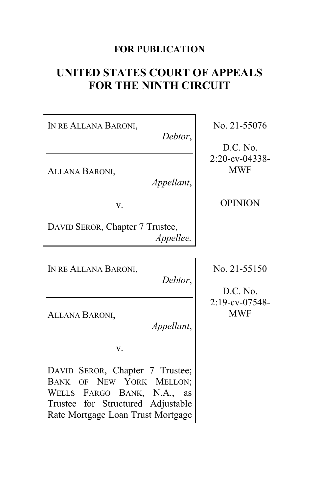# **FOR PUBLICATION**

# **UNITED STATES COURT OF APPEALS FOR THE NINTH CIRCUIT**

IN RE ALLANA BARONI, *Debtor*, ALLANA BARONI, *Appellant*, v. DAVID SEROR, Chapter 7 Trustee, *Appellee.* IN RE ALLANA BARONI, *Debtor*, ALLANA BARONI, *Appellant*, v. DAVID SEROR, Chapter 7 Trustee; BANK OF NEW YORK MELLON; WELLS FARGO BANK, N.A., as Trustee for Structured Adjustable Rate Mortgage Loan Trust Mortgage

No. 21-55076

D.C. No. 2:20-cv-04338- MWF

OPINION

No. 21-55150

D.C. No. 2:19-cv-07548- MWF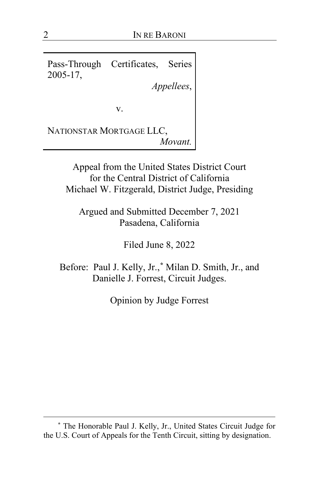Pass-Through Certificates, Series 2005-17,

*Appellees*,

v.

NATIONSTAR MORTGAGE LLC, *Movant.*

> Appeal from the United States District Court for the Central District of California Michael W. Fitzgerald, District Judge, Presiding

Argued and Submitted December 7, 2021 Pasadena, California

Filed June 8, 2022

Before: Paul J. Kelly, Jr.,**[\\*](#page-1-0)** Milan D. Smith, Jr., and Danielle J. Forrest, Circuit Judges.

Opinion by Judge Forrest

<span id="page-1-0"></span>**<sup>\*</sup>** The Honorable Paul J. Kelly, Jr., United States Circuit Judge for the U.S. Court of Appeals for the Tenth Circuit, sitting by designation.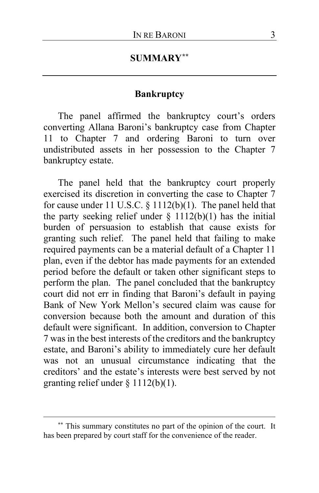# **SUMMARY[\\*\\*](#page-2-0)**

### **Bankruptcy**

The panel affirmed the bankruptcy court's orders converting Allana Baroni's bankruptcy case from Chapter 11 to Chapter 7 and ordering Baroni to turn over undistributed assets in her possession to the Chapter 7 bankruptcy estate.

The panel held that the bankruptcy court properly exercised its discretion in converting the case to Chapter 7 for cause under 11 U.S.C. § 1112(b)(1). The panel held that the party seeking relief under  $\S$  1112(b)(1) has the initial burden of persuasion to establish that cause exists for granting such relief. The panel held that failing to make required payments can be a material default of a Chapter 11 plan, even if the debtor has made payments for an extended period before the default or taken other significant steps to perform the plan. The panel concluded that the bankruptcy court did not err in finding that Baroni's default in paying Bank of New York Mellon's secured claim was cause for conversion because both the amount and duration of this default were significant. In addition, conversion to Chapter 7 was in the best interests of the creditors and the bankruptcy estate, and Baroni's ability to immediately cure her default was not an unusual circumstance indicating that the creditors' and the estate's interests were best served by not granting relief under § 1112(b)(1).

<span id="page-2-0"></span>**<sup>\*\*</sup>** This summary constitutes no part of the opinion of the court. It has been prepared by court staff for the convenience of the reader.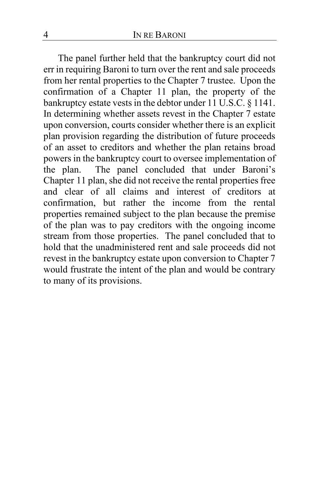The panel further held that the bankruptcy court did not err in requiring Baroni to turn over the rent and sale proceeds from her rental properties to the Chapter 7 trustee. Upon the confirmation of a Chapter 11 plan, the property of the bankruptcy estate vests in the debtor under 11 U.S.C. § 1141. In determining whether assets revest in the Chapter 7 estate upon conversion, courts consider whether there is an explicit plan provision regarding the distribution of future proceeds of an asset to creditors and whether the plan retains broad powers in the bankruptcy court to oversee implementation of the plan. The panel concluded that under Baroni's Chapter 11 plan, she did not receive the rental properties free and clear of all claims and interest of creditors at confirmation, but rather the income from the rental properties remained subject to the plan because the premise of the plan was to pay creditors with the ongoing income stream from those properties. The panel concluded that to hold that the unadministered rent and sale proceeds did not revest in the bankruptcy estate upon conversion to Chapter 7 would frustrate the intent of the plan and would be contrary to many of its provisions.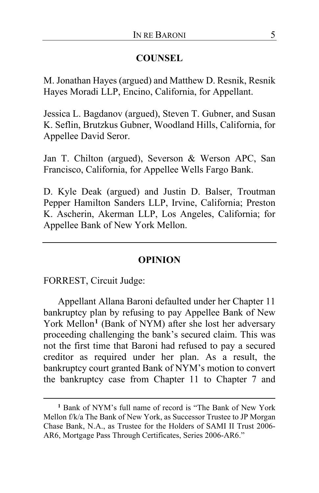### **COUNSEL**

M. Jonathan Hayes (argued) and Matthew D. Resnik, Resnik Hayes Moradi LLP, Encino, California, for Appellant.

Jessica L. Bagdanov (argued), Steven T. Gubner, and Susan K. Seflin, Brutzkus Gubner, Woodland Hills, California, for Appellee David Seror.

Jan T. Chilton (argued), Severson & Werson APC, San Francisco, California, for Appellee Wells Fargo Bank.

D. Kyle Deak (argued) and Justin D. Balser, Troutman Pepper Hamilton Sanders LLP, Irvine, California; Preston K. Ascherin, Akerman LLP, Los Angeles, California; for Appellee Bank of New York Mellon.

### **OPINION**

FORREST, Circuit Judge:

Appellant Allana Baroni defaulted under her Chapter 11 bankruptcy plan by refusing to pay Appellee Bank of New York Mellon**[1](#page-4-0)** (Bank of NYM) after she lost her adversary proceeding challenging the bank's secured claim. This was not the first time that Baroni had refused to pay a secured creditor as required under her plan. As a result, the bankruptcy court granted Bank of NYM's motion to convert the bankruptcy case from Chapter 11 to Chapter 7 and

<span id="page-4-0"></span>**<sup>1</sup>** Bank of NYM's full name of record is "The Bank of New York Mellon f/k/a The Bank of New York, as Successor Trustee to JP Morgan Chase Bank, N.A., as Trustee for the Holders of SAMI II Trust 2006- AR6, Mortgage Pass Through Certificates, Series 2006-AR6."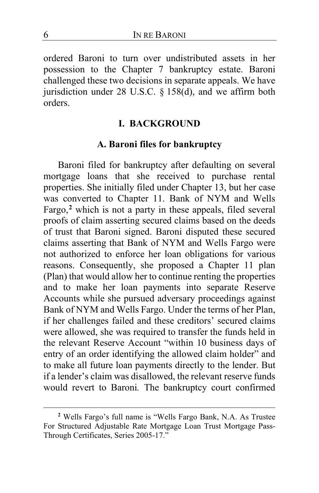ordered Baroni to turn over undistributed assets in her possession to the Chapter 7 bankruptcy estate. Baroni challenged these two decisions in separate appeals. We have jurisdiction under 28 U.S.C.  $\S$  158(d), and we affirm both orders.

### **I. BACKGROUND**

### **A. Baroni files for bankruptcy**

Baroni filed for bankruptcy after defaulting on several mortgage loans that she received to purchase rental properties. She initially filed under Chapter 13, but her case was converted to Chapter 11. Bank of NYM and Wells Fargo,**[2](#page-5-0)** which is not a party in these appeals, filed several proofs of claim asserting secured claims based on the deeds of trust that Baroni signed. Baroni disputed these secured claims asserting that Bank of NYM and Wells Fargo were not authorized to enforce her loan obligations for various reasons. Consequently, she proposed a Chapter 11 plan (Plan) that would allow her to continue renting the properties and to make her loan payments into separate Reserve Accounts while she pursued adversary proceedings against Bank of NYM and Wells Fargo. Under the terms of her Plan, if her challenges failed and these creditors' secured claims were allowed, she was required to transfer the funds held in the relevant Reserve Account "within 10 business days of entry of an order identifying the allowed claim holder" and to make all future loan payments directly to the lender. But if a lender's claim was disallowed, the relevant reserve funds would revert to Baroni*.* The bankruptcy court confirmed

<span id="page-5-0"></span>**<sup>2</sup>** Wells Fargo's full name is "Wells Fargo Bank, N.A. As Trustee For Structured Adjustable Rate Mortgage Loan Trust Mortgage Pass-Through Certificates, Series 2005-17."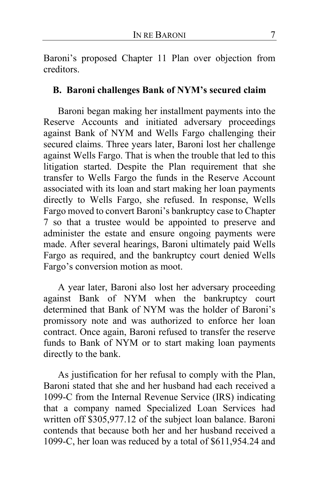Baroni's proposed Chapter 11 Plan over objection from creditors.

### **B. Baroni challenges Bank of NYM's secured claim**

Baroni began making her installment payments into the Reserve Accounts and initiated adversary proceedings against Bank of NYM and Wells Fargo challenging their secured claims. Three years later, Baroni lost her challenge against Wells Fargo. That is when the trouble that led to this litigation started. Despite the Plan requirement that she transfer to Wells Fargo the funds in the Reserve Account associated with its loan and start making her loan payments directly to Wells Fargo, she refused. In response, Wells Fargo moved to convert Baroni's bankruptcy case to Chapter 7 so that a trustee would be appointed to preserve and administer the estate and ensure ongoing payments were made. After several hearings, Baroni ultimately paid Wells Fargo as required, and the bankruptcy court denied Wells Fargo's conversion motion as moot.

A year later, Baroni also lost her adversary proceeding against Bank of NYM when the bankruptcy court determined that Bank of NYM was the holder of Baroni's promissory note and was authorized to enforce her loan contract. Once again, Baroni refused to transfer the reserve funds to Bank of NYM or to start making loan payments directly to the bank.

As justification for her refusal to comply with the Plan, Baroni stated that she and her husband had each received a 1099-C from the Internal Revenue Service (IRS) indicating that a company named Specialized Loan Services had written off \$305,977.12 of the subject loan balance. Baroni contends that because both her and her husband received a 1099-C, her loan was reduced by a total of \$611,954.24 and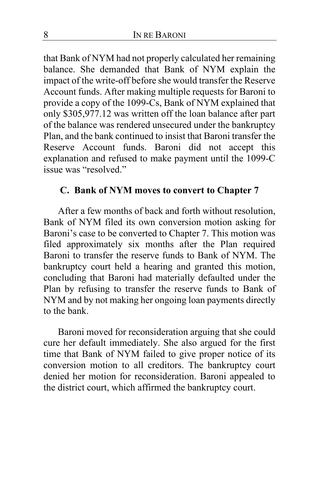that Bank of NYM had not properly calculated her remaining balance. She demanded that Bank of NYM explain the impact of the write-off before she would transfer the Reserve Account funds. After making multiple requests for Baroni to provide a copy of the 1099-Cs, Bank of NYM explained that only \$305,977.12 was written off the loan balance after part of the balance was rendered unsecured under the bankruptcy Plan, and the bank continued to insist that Baroni transfer the Reserve Account funds. Baroni did not accept this explanation and refused to make payment until the 1099-C issue was "resolved."

### **C. Bank of NYM moves to convert to Chapter 7**

After a few months of back and forth without resolution, Bank of NYM filed its own conversion motion asking for Baroni's case to be converted to Chapter 7. This motion was filed approximately six months after the Plan required Baroni to transfer the reserve funds to Bank of NYM. The bankruptcy court held a hearing and granted this motion, concluding that Baroni had materially defaulted under the Plan by refusing to transfer the reserve funds to Bank of NYM and by not making her ongoing loan payments directly to the bank.

Baroni moved for reconsideration arguing that she could cure her default immediately. She also argued for the first time that Bank of NYM failed to give proper notice of its conversion motion to all creditors. The bankruptcy court denied her motion for reconsideration. Baroni appealed to the district court, which affirmed the bankruptcy court.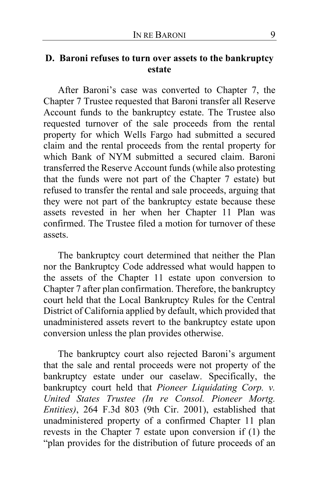# **D. Baroni refuses to turn over assets to the bankruptcy estate**

After Baroni's case was converted to Chapter 7, the Chapter 7 Trustee requested that Baroni transfer all Reserve Account funds to the bankruptcy estate. The Trustee also requested turnover of the sale proceeds from the rental property for which Wells Fargo had submitted a secured claim and the rental proceeds from the rental property for which Bank of NYM submitted a secured claim. Baroni transferred the Reserve Account funds (while also protesting that the funds were not part of the Chapter 7 estate) but refused to transfer the rental and sale proceeds, arguing that they were not part of the bankruptcy estate because these assets revested in her when her Chapter 11 Plan was confirmed. The Trustee filed a motion for turnover of these assets.

The bankruptcy court determined that neither the Plan nor the Bankruptcy Code addressed what would happen to the assets of the Chapter 11 estate upon conversion to Chapter 7 after plan confirmation. Therefore, the bankruptcy court held that the Local Bankruptcy Rules for the Central District of California applied by default, which provided that unadministered assets revert to the bankruptcy estate upon conversion unless the plan provides otherwise.

The bankruptcy court also rejected Baroni's argument that the sale and rental proceeds were not property of the bankruptcy estate under our caselaw. Specifically, the bankruptcy court held that *Pioneer Liquidating Corp. v. United States Trustee (In re Consol. Pioneer Mortg. Entities)*, 264 F.3d 803 (9th Cir. 2001), established that unadministered property of a confirmed Chapter 11 plan revests in the Chapter 7 estate upon conversion if (1) the "plan provides for the distribution of future proceeds of an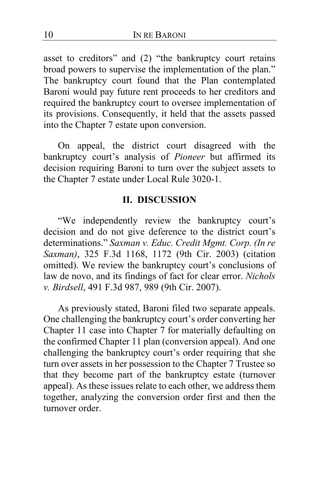asset to creditors" and (2) "the bankruptcy court retains broad powers to supervise the implementation of the plan." The bankruptcy court found that the Plan contemplated Baroni would pay future rent proceeds to her creditors and required the bankruptcy court to oversee implementation of its provisions. Consequently, it held that the assets passed into the Chapter 7 estate upon conversion.

On appeal, the district court disagreed with the bankruptcy court's analysis of *Pioneer* but affirmed its decision requiring Baroni to turn over the subject assets to the Chapter 7 estate under Local Rule 3020-1.

#### **II. DISCUSSION**

"We independently review the bankruptcy court's decision and do not give deference to the district court's determinations." *Saxman v. Educ. Credit Mgmt. Corp. (In re Saxman)*, 325 F.3d 1168, 1172 (9th Cir. 2003) (citation omitted). We review the bankruptcy court's conclusions of law de novo, and its findings of fact for clear error. *Nichols v. Birdsell*, 491 F.3d 987, 989 (9th Cir. 2007).

As previously stated, Baroni filed two separate appeals. One challenging the bankruptcy court's order converting her Chapter 11 case into Chapter 7 for materially defaulting on the confirmed Chapter 11 plan (conversion appeal). And one challenging the bankruptcy court's order requiring that she turn over assets in her possession to the Chapter 7 Trustee so that they become part of the bankruptcy estate (turnover appeal). As these issues relate to each other, we address them together, analyzing the conversion order first and then the turnover order.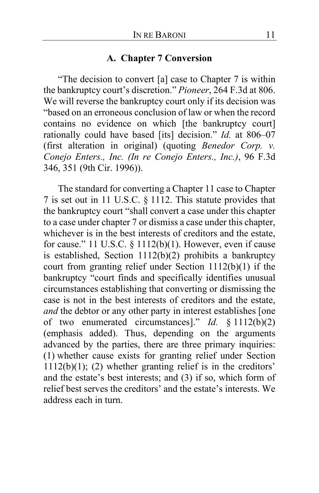### **A. Chapter 7 Conversion**

"The decision to convert [a] case to Chapter 7 is within the bankruptcy court's discretion." *Pioneer*, 264 F.3d at 806. We will reverse the bankruptcy court only if its decision was "based on an erroneous conclusion of law or when the record contains no evidence on which [the bankruptcy court] rationally could have based [its] decision." *Id.* at 806–07 (first alteration in original) (quoting *Benedor Corp. v. Conejo Enters., Inc. (In re Conejo Enters., Inc.)*, 96 F.3d 346, 351 (9th Cir. 1996)).

The standard for converting a Chapter 11 case to Chapter 7 is set out in 11 U.S.C. § 1112. This statute provides that the bankruptcy court "shall convert a case under this chapter to a case under chapter 7 or dismiss a case under this chapter, whichever is in the best interests of creditors and the estate, for cause." 11 U.S.C.  $\S$  1112(b)(1). However, even if cause is established, Section 1112(b)(2) prohibits a bankruptcy court from granting relief under Section 1112(b)(1) if the bankruptcy "court finds and specifically identifies unusual circumstances establishing that converting or dismissing the case is not in the best interests of creditors and the estate, *and* the debtor or any other party in interest establishes [one of two enumerated circumstances]." *Id.* § 1112(b)(2) (emphasis added). Thus, depending on the arguments advanced by the parties, there are three primary inquiries: (1) whether cause exists for granting relief under Section  $1112(b)(1)$ ; (2) whether granting relief is in the creditors' and the estate's best interests; and (3) if so, which form of relief best serves the creditors' and the estate's interests. We address each in turn.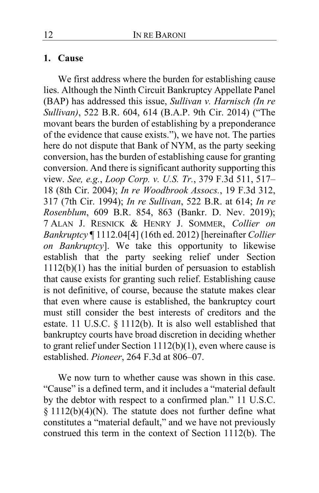#### **1. Cause**

We first address where the burden for establishing cause lies. Although the Ninth Circuit Bankruptcy Appellate Panel (BAP) has addressed this issue, *Sullivan v. Harnisch (In re Sullivan)*, 522 B.R. 604, 614 (B.A.P. 9th Cir. 2014) ("The movant bears the burden of establishing by a preponderance of the evidence that cause exists."), we have not. The parties here do not dispute that Bank of NYM, as the party seeking conversion, has the burden of establishing cause for granting conversion. And there is significant authority supporting this view. *See, e.g.*, *Loop Corp. v. U.S. Tr.*, 379 F.3d 511, 517– 18 (8th Cir. 2004); *In re Woodbrook Assocs.*, 19 F.3d 312, 317 (7th Cir. 1994); *In re Sullivan*, 522 B.R. at 614; *In re Rosenblum*, 609 B.R. 854, 863 (Bankr. D. Nev. 2019); 7 ALAN J. RESNICK & HENRY J. SOMMER, *Collier on Bankruptcy* ¶ 1112.04[4] (16th ed. 2012) [hereinafter *Collier on Bankruptcy*]. We take this opportunity to likewise establish that the party seeking relief under Section 1112(b)(1) has the initial burden of persuasion to establish that cause exists for granting such relief. Establishing cause is not definitive, of course, because the statute makes clear that even where cause is established, the bankruptcy court must still consider the best interests of creditors and the estate. 11 U.S.C. § 1112(b). It is also well established that bankruptcy courts have broad discretion in deciding whether to grant relief under Section 1112(b)(1), even where cause is established. *Pioneer*, 264 F.3d at 806–07.

We now turn to whether cause was shown in this case. "Cause" is a defined term, and it includes a "material default by the debtor with respect to a confirmed plan." 11 U.S.C. § 1112(b)(4)(N). The statute does not further define what constitutes a "material default," and we have not previously construed this term in the context of Section 1112(b). The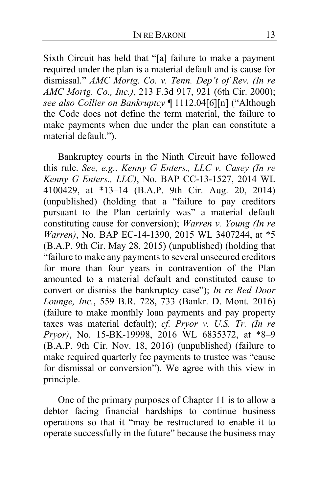Sixth Circuit has held that "[a] failure to make a payment required under the plan is a material default and is cause for dismissal." *AMC Mortg. Co. v. Tenn. Dep't of Rev. (In re AMC Mortg. Co., Inc.)*, 213 F.3d 917, 921 (6th Cir. 2000); *see also Collier on Bankruptcy* ¶ 1112.04[6][n] ("Although the Code does not define the term material, the failure to make payments when due under the plan can constitute a material default.").

Bankruptcy courts in the Ninth Circuit have followed this rule. *See, e.g.*, *Kenny G Enters., LLC v. Casey (In re Kenny G Enters., LLC)*, No. BAP CC-13-1527, 2014 WL 4100429, at \*13–14 (B.A.P. 9th Cir. Aug. 20, 2014) (unpublished) (holding that a "failure to pay creditors pursuant to the Plan certainly was" a material default constituting cause for conversion); *Warren v. Young (In re Warren)*, No. BAP EC-14-1390, 2015 WL 3407244, at \*5 (B.A.P. 9th Cir. May 28, 2015) (unpublished) (holding that "failure to make any payments to several unsecured creditors for more than four years in contravention of the Plan amounted to a material default and constituted cause to convert or dismiss the bankruptcy case"); *In re Red Door Lounge, Inc.*, 559 B.R. 728, 733 (Bankr. D. Mont. 2016) (failure to make monthly loan payments and pay property taxes was material default); *cf. Pryor v. U.S. Tr. (In re Pryor)*, No. 15-BK-19998, 2016 WL 6835372, at \*8–9 (B.A.P. 9th Cir. Nov. 18, 2016) (unpublished) (failure to make required quarterly fee payments to trustee was "cause for dismissal or conversion"). We agree with this view in principle.

One of the primary purposes of Chapter 11 is to allow a debtor facing financial hardships to continue business operations so that it "may be restructured to enable it to operate successfully in the future" because the business may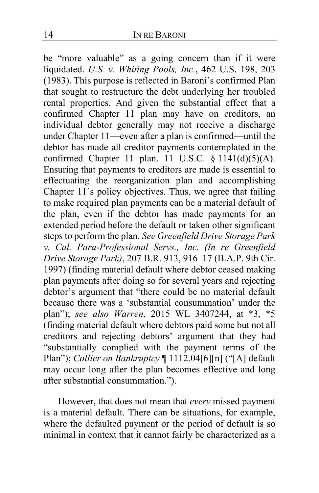be "more valuable" as a going concern than if it were liquidated. *U.S. v. Whiting Pools, Inc.*, 462 U.S. 198, 203 (1983). This purpose is reflected in Baroni's confirmed Plan that sought to restructure the debt underlying her troubled rental properties. And given the substantial effect that a confirmed Chapter 11 plan may have on creditors, an individual debtor generally may not receive a discharge under Chapter 11—even after a plan is confirmed—until the debtor has made all creditor payments contemplated in the confirmed Chapter 11 plan. 11 U.S.C.  $\S 1141(d)(5)(A)$ . Ensuring that payments to creditors are made is essential to effectuating the reorganization plan and accomplishing Chapter 11's policy objectives. Thus, we agree that failing to make required plan payments can be a material default of the plan, even if the debtor has made payments for an extended period before the default or taken other significant steps to perform the plan. *See Greenfield Drive Storage Park v. Cal. Para-Professional Servs., Inc. (In re Greenfield Drive Storage Park)*, 207 B.R. 913, 916–17 (B.A.P. 9th Cir. 1997) (finding material default where debtor ceased making plan payments after doing so for several years and rejecting debtor's argument that "there could be no material default because there was a 'substantial consummation' under the plan"); *see also Warren*, 2015 WL 3407244, at \*3, \*5 (finding material default where debtors paid some but not all creditors and rejecting debtors' argument that they had "substantially complied with the payment terms of the Plan"); *Collier on Bankruptcy* ¶ 1112.04[6][n] ("[A] default may occur long after the plan becomes effective and long after substantial consummation.").

However, that does not mean that *every* missed payment is a material default. There can be situations, for example, where the defaulted payment or the period of default is so minimal in context that it cannot fairly be characterized as a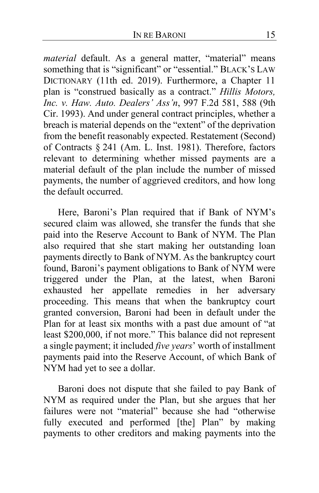*material* default. As a general matter, "material" means something that is "significant" or "essential." BLACK'S LAW DICTIONARY (11th ed. 2019). Furthermore, a Chapter 11 plan is "construed basically as a contract." *Hillis Motors, Inc. v. Haw. Auto. Dealers' Ass'n*, 997 F.2d 581, 588 (9th Cir. 1993). And under general contract principles, whether a breach is material depends on the "extent" of the deprivation from the benefit reasonably expected. Restatement (Second) of Contracts § 241 (Am. L. Inst. 1981). Therefore, factors relevant to determining whether missed payments are a material default of the plan include the number of missed payments, the number of aggrieved creditors, and how long the default occurred.

Here, Baroni's Plan required that if Bank of NYM's secured claim was allowed, she transfer the funds that she paid into the Reserve Account to Bank of NYM. The Plan also required that she start making her outstanding loan payments directly to Bank of NYM. As the bankruptcy court found, Baroni's payment obligations to Bank of NYM were triggered under the Plan, at the latest, when Baroni exhausted her appellate remedies in her adversary proceeding. This means that when the bankruptcy court granted conversion, Baroni had been in default under the Plan for at least six months with a past due amount of "at least \$200,000, if not more." This balance did not represent a single payment; it included *five years*' worth of installment payments paid into the Reserve Account, of which Bank of NYM had yet to see a dollar.

Baroni does not dispute that she failed to pay Bank of NYM as required under the Plan, but she argues that her failures were not "material" because she had "otherwise fully executed and performed [the] Plan" by making payments to other creditors and making payments into the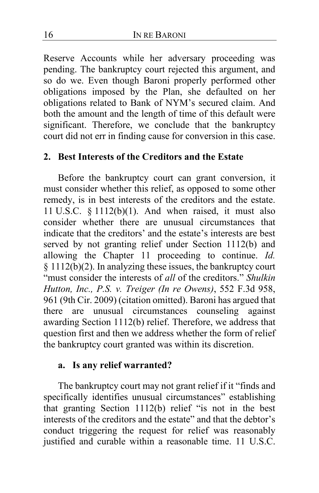Reserve Accounts while her adversary proceeding was pending. The bankruptcy court rejected this argument, and so do we. Even though Baroni properly performed other obligations imposed by the Plan, she defaulted on her obligations related to Bank of NYM's secured claim. And both the amount and the length of time of this default were significant. Therefore, we conclude that the bankruptcy court did not err in finding cause for conversion in this case.

## **2. Best Interests of the Creditors and the Estate**

Before the bankruptcy court can grant conversion, it must consider whether this relief, as opposed to some other remedy, is in best interests of the creditors and the estate. 11 U.S.C. § 1112(b)(1). And when raised, it must also consider whether there are unusual circumstances that indicate that the creditors' and the estate's interests are best served by not granting relief under Section 1112(b) and allowing the Chapter 11 proceeding to continue. *Id.*  § 1112(b)(2). In analyzing these issues, the bankruptcy court "must consider the interests of *all* of the creditors." *Shulkin Hutton, Inc., P.S. v. Treiger (In re Owens)*, 552 F.3d 958, 961 (9th Cir. 2009) (citation omitted). Baroni has argued that there are unusual circumstances counseling against awarding Section 1112(b) relief. Therefore, we address that question first and then we address whether the form of relief the bankruptcy court granted was within its discretion.

### **a. Is any relief warranted?**

The bankruptcy court may not grant relief if it "finds and specifically identifies unusual circumstances" establishing that granting Section 1112(b) relief "is not in the best interests of the creditors and the estate" and that the debtor's conduct triggering the request for relief was reasonably justified and curable within a reasonable time. 11 U.S.C.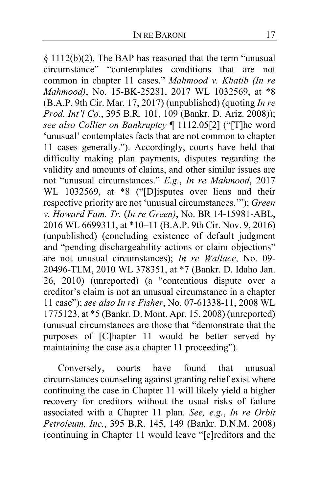§ 1112(b)(2). The BAP has reasoned that the term "unusual circumstance" "contemplates conditions that are not common in chapter 11 cases." *Mahmood v. Khatib (In re Mahmood)*, No. 15-BK-25281, 2017 WL 1032569, at \*8 (B.A.P. 9th Cir. Mar. 17, 2017) (unpublished) (quoting *In re Prod. Int'l Co.*, 395 B.R. 101, 109 (Bankr. D. Ariz. 2008)); *see also Collier on Bankruptcy* ¶ 1112.05[2] ("[T]he word 'unusual' contemplates facts that are not common to chapter 11 cases generally."). Accordingly, courts have held that difficulty making plan payments, disputes regarding the validity and amounts of claims, and other similar issues are not "unusual circumstances." *E.g.*, *In re Mahmood*, 2017 WL 1032569, at \*8 ("[D]isputes over liens and their respective priority are not 'unusual circumstances.'"); *Green v. Howard Fam. Tr.* (*In re Green)*, No. BR 14-15981-ABL, 2016 WL 6699311, at \*10–11 (B.A.P. 9th Cir. Nov. 9, 2016) (unpublished) (concluding existence of default judgment and "pending dischargeability actions or claim objections" are not unusual circumstances); *In re Wallace*, No. 09- 20496-TLM, 2010 WL 378351, at \*7 (Bankr. D. Idaho Jan. 26, 2010) (unreported) (a "contentious dispute over a creditor's claim is not an unusual circumstance in a chapter 11 case"); *see also In re Fisher*, No. 07-61338-11, 2008 WL 1775123, at \*5 (Bankr. D. Mont. Apr. 15, 2008) (unreported) (unusual circumstances are those that "demonstrate that the purposes of [C]hapter 11 would be better served by maintaining the case as a chapter 11 proceeding").

Conversely, courts have found that unusual circumstances counseling against granting relief exist where continuing the case in Chapter 11 will likely yield a higher recovery for creditors without the usual risks of failure associated with a Chapter 11 plan. *See, e.g.*, *In re Orbit Petroleum, Inc.*, 395 B.R. 145, 149 (Bankr. D.N.M. 2008) (continuing in Chapter 11 would leave "[c]reditors and the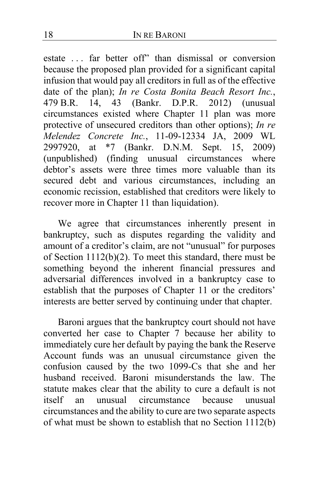estate ... far better off" than dismissal or conversion because the proposed plan provided for a significant capital infusion that would pay all creditors in full as of the effective date of the plan); *In re Costa Bonita Beach Resort Inc.*, 479 B.R. 14, 43 (Bankr. D.P.R. 2012) (unusual circumstances existed where Chapter 11 plan was more protective of unsecured creditors than other options); *In re Melendez Concrete Inc.*, 11-09-12334 JA, 2009 WL<br>2997920. at \*7 (Bankr. D.N.M. Sept. 15, 2009)  $*7$  (Bankr. D.N.M. Sept. 15, 2009) (unpublished) (finding unusual circumstances where debtor's assets were three times more valuable than its secured debt and various circumstances, including an economic recission, established that creditors were likely to recover more in Chapter 11 than liquidation).

We agree that circumstances inherently present in bankruptcy, such as disputes regarding the validity and amount of a creditor's claim, are not "unusual" for purposes of Section 1112(b)(2). To meet this standard, there must be something beyond the inherent financial pressures and adversarial differences involved in a bankruptcy case to establish that the purposes of Chapter 11 or the creditors' interests are better served by continuing under that chapter.

Baroni argues that the bankruptcy court should not have converted her case to Chapter 7 because her ability to immediately cure her default by paying the bank the Reserve Account funds was an unusual circumstance given the confusion caused by the two 1099-Cs that she and her husband received. Baroni misunderstands the law. The statute makes clear that the ability to cure a default is not itself an unusual circumstance because unusual circumstances and the ability to cure are two separate aspects of what must be shown to establish that no Section 1112(b)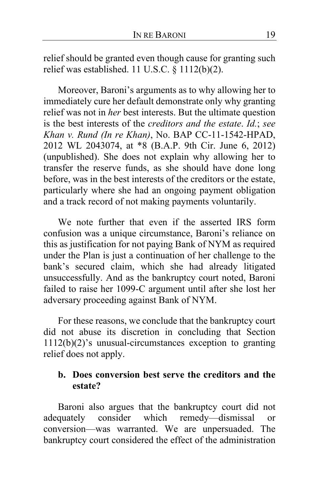relief should be granted even though cause for granting such relief was established. 11 U.S.C. § 1112(b)(2).

Moreover, Baroni's arguments as to why allowing her to immediately cure her default demonstrate only why granting relief was not in *her* best interests. But the ultimate question is the best interests of the *creditors and the estate*. *Id.*; *see Khan v. Rund (In re Khan)*, No. BAP CC-11-1542-HPAD, 2012 WL 2043074, at \*8 (B.A.P. 9th Cir. June 6, 2012) (unpublished). She does not explain why allowing her to transfer the reserve funds, as she should have done long before, was in the best interests of the creditors or the estate, particularly where she had an ongoing payment obligation and a track record of not making payments voluntarily.

We note further that even if the asserted IRS form confusion was a unique circumstance, Baroni's reliance on this as justification for not paying Bank of NYM as required under the Plan is just a continuation of her challenge to the bank's secured claim, which she had already litigated unsuccessfully. And as the bankruptcy court noted, Baroni failed to raise her 1099-C argument until after she lost her adversary proceeding against Bank of NYM.

For these reasons, we conclude that the bankruptcy court did not abuse its discretion in concluding that Section 1112(b)(2)'s unusual-circumstances exception to granting relief does not apply.

### **b. Does conversion best serve the creditors and the estate?**

Baroni also argues that the bankruptcy court did not adequately consider which remedy—dismissal or conversion—was warranted. We are unpersuaded. The bankruptcy court considered the effect of the administration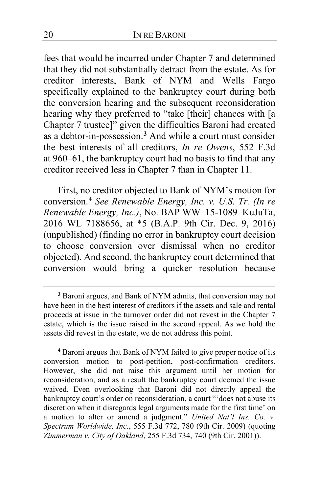fees that would be incurred under Chapter 7 and determined that they did not substantially detract from the estate. As for creditor interests, Bank of NYM and Wells Fargo specifically explained to the bankruptcy court during both the conversion hearing and the subsequent reconsideration hearing why they preferred to "take [their] chances with [a Chapter 7 trustee]" given the difficulties Baroni had created as a debtor-in-possession.**[3](#page-19-0)** And while a court must consider the best interests of all creditors, *In re Owens*, 552 F.3d at 960–61, the bankruptcy court had no basis to find that any creditor received less in Chapter 7 than in Chapter 11.

First, no creditor objected to Bank of NYM's motion for conversion.**[4](#page-19-1)** *See Renewable Energy, Inc. v. U.S. Tr. (In re Renewable Energy, Inc.)*, No. BAP WW–15-1089–KuJuTa, 2016 WL 7188656, at \*5 (B.A.P. 9th Cir. Dec. 9, 2016) (unpublished) (finding no error in bankruptcy court decision to choose conversion over dismissal when no creditor objected). And second, the bankruptcy court determined that conversion would bring a quicker resolution because

<span id="page-19-0"></span>**<sup>3</sup>** Baroni argues, and Bank of NYM admits, that conversion may not have been in the best interest of creditors if the assets and sale and rental proceeds at issue in the turnover order did not revest in the Chapter 7 estate, which is the issue raised in the second appeal. As we hold the assets did revest in the estate, we do not address this point.

<span id="page-19-1"></span>**<sup>4</sup>** Baroni argues that Bank of NYM failed to give proper notice of its conversion motion to post-petition, post-confirmation creditors. However, she did not raise this argument until her motion for reconsideration, and as a result the bankruptcy court deemed the issue waived. Even overlooking that Baroni did not directly appeal the bankruptcy court's order on reconsideration, a court "'does not abuse its discretion when it disregards legal arguments made for the first time' on a motion to alter or amend a judgment." *United Nat'l Ins. Co. v. Spectrum Worldwide, Inc.*, 555 F.3d 772, 780 (9th Cir. 2009) (quoting *Zimmerman v. City of Oakland*, 255 F.3d 734, 740 (9th Cir. 2001)).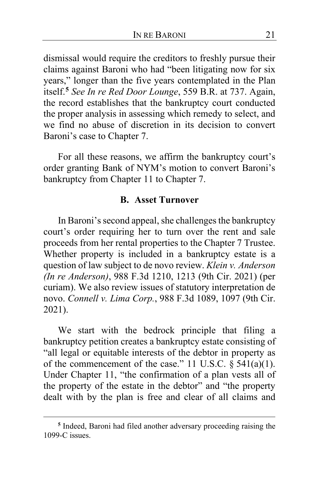dismissal would require the creditors to freshly pursue their claims against Baroni who had "been litigating now for six years," longer than the five years contemplated in the Plan itself.**[5](#page-20-0)** *See In re Red Door Lounge*, 559 B.R. at 737. Again, the record establishes that the bankruptcy court conducted the proper analysis in assessing which remedy to select, and we find no abuse of discretion in its decision to convert Baroni's case to Chapter 7.

For all these reasons, we affirm the bankruptcy court's order granting Bank of NYM's motion to convert Baroni's bankruptcy from Chapter 11 to Chapter 7.

#### **B. Asset Turnover**

In Baroni's second appeal, she challenges the bankruptcy court's order requiring her to turn over the rent and sale proceeds from her rental properties to the Chapter 7 Trustee. Whether property is included in a bankruptcy estate is a question of law subject to de novo review. *Klein v. Anderson (In re Anderson)*, 988 F.3d 1210, 1213 (9th Cir. 2021) (per curiam). We also review issues of statutory interpretation de novo. *Connell v. Lima Corp.*, 988 F.3d 1089, 1097 (9th Cir. 2021).

We start with the bedrock principle that filing a bankruptcy petition creates a bankruptcy estate consisting of "all legal or equitable interests of the debtor in property as of the commencement of the case." 11 U.S.C.  $\S$  541(a)(1). Under Chapter 11, "the confirmation of a plan vests all of the property of the estate in the debtor" and "the property dealt with by the plan is free and clear of all claims and

<span id="page-20-0"></span>**<sup>5</sup>** Indeed, Baroni had filed another adversary proceeding raising the 1099-C issues.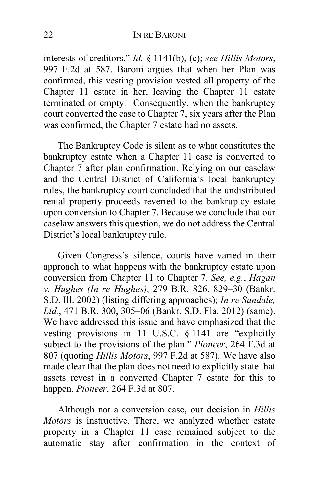interests of creditors." *Id.* § 1141(b), (c); *see Hillis Motors*, 997 F.2d at 587. Baroni argues that when her Plan was confirmed, this vesting provision vested all property of the Chapter 11 estate in her, leaving the Chapter 11 estate terminated or empty. Consequently, when the bankruptcy court converted the case to Chapter 7, six years after the Plan was confirmed, the Chapter 7 estate had no assets.

The Bankruptcy Code is silent as to what constitutes the bankruptcy estate when a Chapter 11 case is converted to Chapter 7 after plan confirmation. Relying on our caselaw and the Central District of California's local bankruptcy rules, the bankruptcy court concluded that the undistributed rental property proceeds reverted to the bankruptcy estate upon conversion to Chapter 7. Because we conclude that our caselaw answers this question, we do not address the Central District's local bankruptcy rule.

Given Congress's silence, courts have varied in their approach to what happens with the bankruptcy estate upon conversion from Chapter 11 to Chapter 7. *See, e.g.*, *Hagan v. Hughes (In re Hughes)*, 279 B.R. 826, 829–30 (Bankr. S.D. Ill. 2002) (listing differing approaches); *In re Sundale, Ltd.*, 471 B.R. 300, 305–06 (Bankr. S.D. Fla. 2012) (same). We have addressed this issue and have emphasized that the vesting provisions in 11 U.S.C. § 1141 are "explicitly subject to the provisions of the plan." *Pioneer*, 264 F.3d at 807 (quoting *Hillis Motors*, 997 F.2d at 587). We have also made clear that the plan does not need to explicitly state that assets revest in a converted Chapter 7 estate for this to happen. *Pioneer*, 264 F.3d at 807.

Although not a conversion case, our decision in *Hillis Motors* is instructive. There, we analyzed whether estate property in a Chapter 11 case remained subject to the automatic stay after confirmation in the context of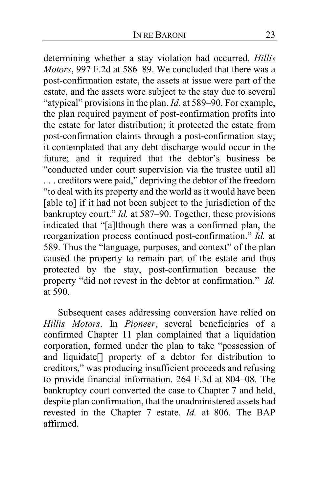determining whether a stay violation had occurred. *Hillis Motors*, 997 F.2d at 586–89. We concluded that there was a post-confirmation estate, the assets at issue were part of the estate, and the assets were subject to the stay due to several "atypical" provisions in the plan. *Id.* at 589–90. For example, the plan required payment of post-confirmation profits into the estate for later distribution; it protected the estate from post-confirmation claims through a post-confirmation stay; it contemplated that any debt discharge would occur in the future; and it required that the debtor's business be "conducted under court supervision via the trustee until all . . . creditors were paid," depriving the debtor of the freedom "to deal with its property and the world as it would have been [able to] if it had not been subject to the jurisdiction of the bankruptcy court." *Id.* at 587–90. Together, these provisions indicated that "[a]lthough there was a confirmed plan, the reorganization process continued post-confirmation." *Id.* at 589. Thus the "language, purposes, and context" of the plan caused the property to remain part of the estate and thus protected by the stay, post-confirmation because the property "did not revest in the debtor at confirmation." *Id.* at 590.

Subsequent cases addressing conversion have relied on *Hillis Motors*. In *Pioneer*, several beneficiaries of a confirmed Chapter 11 plan complained that a liquidation corporation, formed under the plan to take "possession of and liquidate[] property of a debtor for distribution to creditors," was producing insufficient proceeds and refusing to provide financial information. 264 F.3d at 804–08. The bankruptcy court converted the case to Chapter 7 and held, despite plan confirmation, that the unadministered assets had revested in the Chapter 7 estate. *Id.* at 806. The BAP affirmed.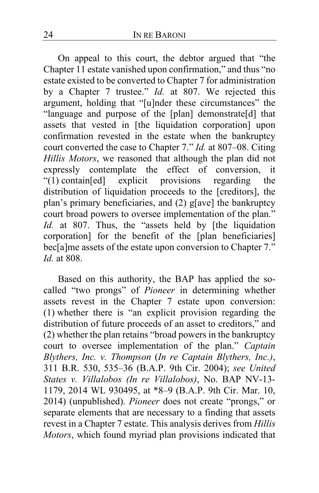On appeal to this court, the debtor argued that "the Chapter 11 estate vanished upon confirmation," and thus "no estate existed to be converted to Chapter 7 for administration by a Chapter 7 trustee." *Id.* at 807. We rejected this argument, holding that "[u]nder these circumstances" the "language and purpose of the [plan] demonstrate[d] that assets that vested in [the liquidation corporation] upon confirmation revested in the estate when the bankruptcy court converted the case to Chapter 7." *Id.* at 807–08. Citing *Hillis Motors*, we reasoned that although the plan did not expressly contemplate the effect of conversion, it<br>"(1) contain[ed] explicit provisions regarding the explicit provisions regarding the distribution of liquidation proceeds to the [creditors], the plan's primary beneficiaries, and (2) g[ave] the bankruptcy court broad powers to oversee implementation of the plan." *Id.* at 807. Thus, the "assets held by [the liquidation corporation] for the benefit of the [plan beneficiaries] bec[a]me assets of the estate upon conversion to Chapter 7." *Id.* at 808.

Based on this authority, the BAP has applied the socalled "two prongs" of *Pioneer* in determining whether assets revest in the Chapter 7 estate upon conversion: (1) whether there is "an explicit provision regarding the distribution of future proceeds of an asset to creditors," and (2) whether the plan retains "broad powers in the bankruptcy court to oversee implementation of the plan." *Captain Blythers, Inc. v. Thompson* (*In re Captain Blythers, Inc.)*, 311 B.R. 530, 535–36 (B.A.P. 9th Cir. 2004); *see United States v. Villalobos (In re Villalobos)*, No. BAP NV-13- 1179, 2014 WL 930495, at \*8–9 (B.A.P. 9th Cir. Mar. 10, 2014) (unpublished). *Pioneer* does not create "prongs," or separate elements that are necessary to a finding that assets revest in a Chapter 7 estate. This analysis derives from *Hillis Motors*, which found myriad plan provisions indicated that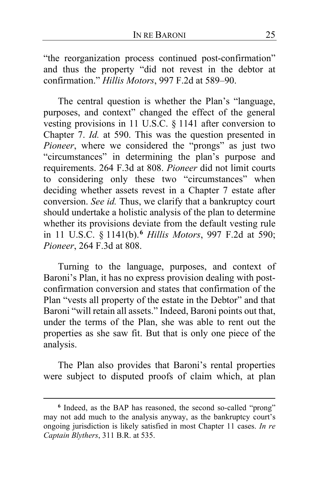"the reorganization process continued post-confirmation" and thus the property "did not revest in the debtor at confirmation." *Hillis Motors*, 997 F.2d at 589–90.

The central question is whether the Plan's "language, purposes, and context" changed the effect of the general vesting provisions in 11 U.S.C. § 1141 after conversion to Chapter 7. *Id.* at 590. This was the question presented in *Pioneer*, where we considered the "prongs" as just two "circumstances" in determining the plan's purpose and requirements. 264 F.3d at 808. *Pioneer* did not limit courts to considering only these two "circumstances" when deciding whether assets revest in a Chapter 7 estate after conversion. *See id.* Thus, we clarify that a bankruptcy court should undertake a holistic analysis of the plan to determine whether its provisions deviate from the default vesting rule in 11 U.S.C. § 1141(b).**[6](#page-24-0)** *Hillis Motors*, 997 F.2d at 590; *Pioneer*, 264 F.3d at 808.

Turning to the language, purposes, and context of Baroni's Plan, it has no express provision dealing with postconfirmation conversion and states that confirmation of the Plan "vests all property of the estate in the Debtor" and that Baroni "will retain all assets." Indeed, Baroni points out that, under the terms of the Plan, she was able to rent out the properties as she saw fit. But that is only one piece of the analysis.

The Plan also provides that Baroni's rental properties were subject to disputed proofs of claim which, at plan

<span id="page-24-0"></span>**<sup>6</sup>** Indeed, as the BAP has reasoned, the second so-called "prong" may not add much to the analysis anyway, as the bankruptcy court's ongoing jurisdiction is likely satisfied in most Chapter 11 cases. *In re Captain Blythers*, 311 B.R. at 535.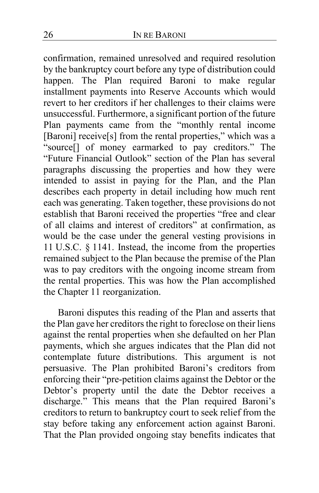confirmation, remained unresolved and required resolution by the bankruptcy court before any type of distribution could happen. The Plan required Baroni to make regular installment payments into Reserve Accounts which would revert to her creditors if her challenges to their claims were unsuccessful. Furthermore, a significant portion of the future Plan payments came from the "monthly rental income [Baroni] receive[s] from the rental properties," which was a "source[] of money earmarked to pay creditors." The "Future Financial Outlook" section of the Plan has several paragraphs discussing the properties and how they were intended to assist in paying for the Plan, and the Plan describes each property in detail including how much rent each was generating. Taken together, these provisions do not establish that Baroni received the properties "free and clear of all claims and interest of creditors" at confirmation, as would be the case under the general vesting provisions in 11 U.S.C. § 1141. Instead, the income from the properties remained subject to the Plan because the premise of the Plan was to pay creditors with the ongoing income stream from the rental properties. This was how the Plan accomplished the Chapter 11 reorganization.

Baroni disputes this reading of the Plan and asserts that the Plan gave her creditors the right to foreclose on their liens against the rental properties when she defaulted on her Plan payments, which she argues indicates that the Plan did not contemplate future distributions. This argument is not persuasive. The Plan prohibited Baroni's creditors from enforcing their "pre-petition claims against the Debtor or the Debtor's property until the date the Debtor receives a discharge." This means that the Plan required Baroni's creditors to return to bankruptcy court to seek relief from the stay before taking any enforcement action against Baroni. That the Plan provided ongoing stay benefits indicates that